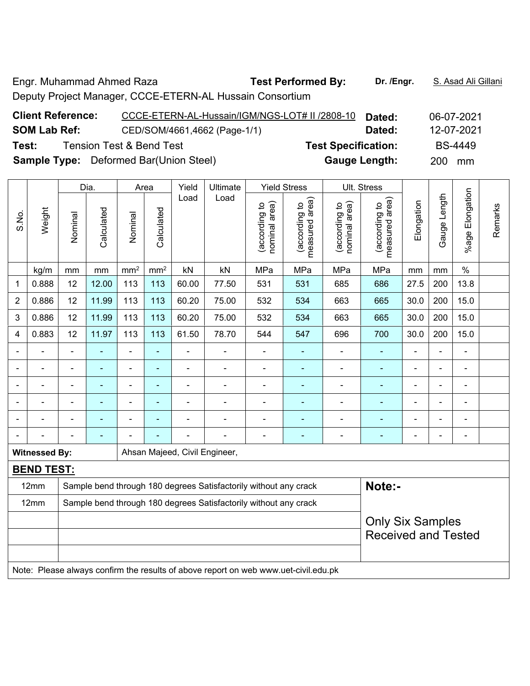Engr. Muhammad Ahmed Raza **Test Performed By: Dr. /Engr.** S. Asad Ali Gillani Deputy Project Manager, CCCE-ETERN-AL Hussain Consortium

| <b>Client Reference:</b> | CCCE-ETERN-AL-Hussain/IGM/NGS-LOT# II /2808-10 |                            | Dated: |     | 06-07-2021     |
|--------------------------|------------------------------------------------|----------------------------|--------|-----|----------------|
| <b>SOM Lab Ref:</b>      | CED/SOM/4661,4662 (Page-1/1)                   |                            | Dated: |     | 12-07-2021     |
| Test:                    | <b>Tension Test &amp; Bend Test</b>            | <b>Test Specification:</b> |        |     | <b>BS-4449</b> |
|                          | <b>Sample Type:</b> Deformed Bar(Union Steel)  | <b>Gauge Length:</b>       |        | 200 | mm             |

|                |                                                                                     |                         | Dia.       |                 | Area            |                | Ultimate                                                         |                                | <b>Yield Stress</b>             |                                | Ult. Stress                     |                |                |                 |         |
|----------------|-------------------------------------------------------------------------------------|-------------------------|------------|-----------------|-----------------|----------------|------------------------------------------------------------------|--------------------------------|---------------------------------|--------------------------------|---------------------------------|----------------|----------------|-----------------|---------|
| S.No.          | Weight                                                                              | Nominal                 | Calculated | Nominal         | Calculated      | Load           | Load                                                             | nominal area)<br>(according to | measured area)<br>(according to | nominal area)<br>(according to | measured area)<br>(according to | Elongation     | Gauge Length   | %age Elongation | Remarks |
|                | kg/m                                                                                | mm                      | mm         | mm <sup>2</sup> | mm <sup>2</sup> | kN             | kN                                                               | MPa                            | MPa                             | MPa                            | MPa                             | mm             | mm             | $\%$            |         |
| 1              | 0.888                                                                               | 12                      | 12.00      | 113             | 113             | 60.00          | 77.50                                                            | 531                            | 531                             | 685                            | 686                             | 27.5           | 200            | 13.8            |         |
| $\overline{2}$ | 0.886                                                                               | 12                      | 11.99      | 113             | 113             | 60.20          | 75.00                                                            | 532                            | 534                             | 663                            | 665                             | 30.0           | 200            | 15.0            |         |
| 3              | 0.886                                                                               | 12                      | 11.99      | 113             | 113             | 60.20          | 75.00                                                            | 532                            | 534                             | 663                            | 665                             | 30.0           | 200            | 15.0            |         |
| 4              | 0.883                                                                               | 12                      | 11.97      | 113             | 113             | 61.50          | 78.70                                                            | 544                            | 547                             | 696                            | 700                             | 30.0           | 200            | 15.0            |         |
| $\blacksquare$ |                                                                                     | $\blacksquare$          | ä,         | ÷,              | ÷               | $\blacksquare$ | $\blacksquare$                                                   | $\blacksquare$                 | $\blacksquare$                  | $\blacksquare$                 | ٠                               | $\blacksquare$ | ä,             | ÷               |         |
|                |                                                                                     | $\blacksquare$          | ä,         | $\blacksquare$  | $\blacksquare$  | $\blacksquare$ | $\blacksquare$                                                   | $\blacksquare$                 | $\blacksquare$                  | $\overline{\phantom{a}}$       | ÷                               | $\blacksquare$ | $\blacksquare$ | ÷,              |         |
|                |                                                                                     | $\blacksquare$          | ä,         | $\blacksquare$  | $\blacksquare$  | $\blacksquare$ | $\blacksquare$                                                   | $\blacksquare$                 | $\blacksquare$                  | $\overline{\phantom{a}}$       | ä,                              | $\blacksquare$ | $\blacksquare$ | ä,              |         |
|                |                                                                                     |                         | ۰          |                 |                 |                |                                                                  |                                |                                 |                                | $\blacksquare$                  |                |                |                 |         |
|                |                                                                                     |                         |            |                 |                 |                |                                                                  |                                |                                 |                                |                                 |                |                | $\blacksquare$  |         |
|                |                                                                                     | ÷,                      | ÷          |                 |                 |                |                                                                  |                                |                                 | Ē,                             | $\blacksquare$                  | $\blacksquare$ | $\blacksquare$ | $\blacksquare$  |         |
|                | <b>Witnessed By:</b>                                                                |                         |            |                 |                 |                | Ahsan Majeed, Civil Engineer,                                    |                                |                                 |                                |                                 |                |                |                 |         |
|                | <b>BEND TEST:</b>                                                                   |                         |            |                 |                 |                |                                                                  |                                |                                 |                                |                                 |                |                |                 |         |
|                | 12mm                                                                                |                         |            |                 |                 |                | Sample bend through 180 degrees Satisfactorily without any crack |                                |                                 |                                | Note:-                          |                |                |                 |         |
|                | 12mm                                                                                |                         |            |                 |                 |                | Sample bend through 180 degrees Satisfactorily without any crack |                                |                                 |                                |                                 |                |                |                 |         |
|                |                                                                                     | <b>Only Six Samples</b> |            |                 |                 |                |                                                                  |                                |                                 |                                |                                 |                |                |                 |         |
|                |                                                                                     |                         |            |                 |                 |                |                                                                  |                                |                                 |                                | <b>Received and Tested</b>      |                |                |                 |         |
|                |                                                                                     |                         |            |                 |                 |                |                                                                  |                                |                                 |                                |                                 |                |                |                 |         |
|                | Note: Please always confirm the results of above report on web www.uet-civil.edu.pk |                         |            |                 |                 |                |                                                                  |                                |                                 |                                |                                 |                |                |                 |         |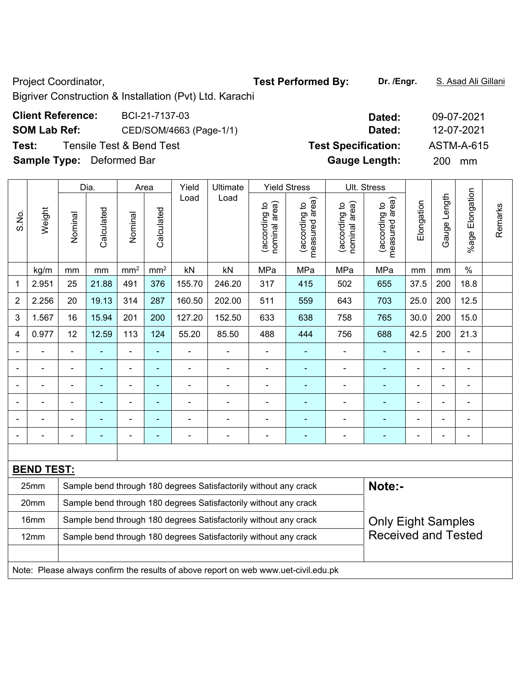Project Coordinator, **Test Performed By:** Dr. /Engr. **S. Asad Ali Gillani** And Dr. /Engr. **B. Asad Ali Gillani** 

Bigriver Construction & Installation (Pvt) Ltd. Karachi

| <b>Client Reference:</b> | BCI-21-7137-03           | Dated:                     | 09-07-2021 |
|--------------------------|--------------------------|----------------------------|------------|
| <b>SOM Lab Ref:</b>      | CED/SOM/4663 (Page-1/1)  | Dated:                     | 12-07-2021 |
| Test:                    | Tensile Test & Bend Test | <b>Test Specification:</b> | ASTM-A-615 |

**Sample Type:** Deformed Bar **Gauge Length:** 200 mm

|                |                                                                                     | Dia.                                                                                          | Area       |                 | Yield                    | Ultimate |                                                                  | <b>Yield Stress</b>            |                                 | Ult. Stress                    |                                    |                          |                |                 |         |
|----------------|-------------------------------------------------------------------------------------|-----------------------------------------------------------------------------------------------|------------|-----------------|--------------------------|----------|------------------------------------------------------------------|--------------------------------|---------------------------------|--------------------------------|------------------------------------|--------------------------|----------------|-----------------|---------|
| S.No.          | Weight                                                                              | Nominal                                                                                       | Calculated | Nominal         | Calculated               | Load     | Load                                                             | nominal area)<br>(according to | (according to<br>measured area) | nominal area)<br>(according to | area)<br>(according to<br>measured | Elongation               | Gauge Length   | %age Elongation | Remarks |
|                | kg/m                                                                                | mm                                                                                            | mm         | mm <sup>2</sup> | $\text{mm}^2$            | kN       | kN                                                               | MPa                            | MPa                             | MPa                            | MPa                                | mm                       | mm             | $\%$            |         |
| 1              | 2.951                                                                               | 25                                                                                            | 21.88      | 491             | 376                      | 155.70   | 246.20                                                           | 317                            | 415                             | 502                            | 655                                | 37.5                     | 200            | 18.8            |         |
| $\overline{2}$ | 2.256                                                                               | 20                                                                                            | 19.13      | 314             | 287                      | 160.50   | 202.00                                                           | 511                            | 559                             | 643                            | 703                                | 25.0                     | 200            | 12.5            |         |
| 3              | 1.567                                                                               | 16                                                                                            | 15.94      | 201             | 200                      | 127.20   | 152.50                                                           | 633                            | 638                             | 758                            | 765                                | 30.0                     | 200            | 15.0            |         |
| 4              | 0.977                                                                               | 12                                                                                            | 12.59      | 113             | 124                      | 55.20    | 85.50                                                            | 488                            | 444                             | 756                            | 688                                | 42.5                     | 200            | 21.3            |         |
| $\blacksquare$ |                                                                                     | ä,                                                                                            |            | ÷,              | ä,                       |          | $\blacksquare$                                                   | $\overline{\phantom{a}}$       | ÷                               |                                | $\blacksquare$                     | ÷,                       | ä,             | $\blacksquare$  |         |
|                |                                                                                     |                                                                                               | ÷          | $\blacksquare$  | $\overline{\phantom{0}}$ | ÷        | $\overline{\phantom{0}}$                                         | $\blacksquare$                 | ۰                               | $\overline{a}$                 | $\overline{\phantom{0}}$           | $\overline{\phantom{0}}$ | $\blacksquare$ | $\blacksquare$  |         |
|                |                                                                                     | $\blacksquare$                                                                                | ä,         | ä,              | ä,                       | ä,       | $\blacksquare$                                                   | ä,                             |                                 | ä,                             | $\blacksquare$                     | $\blacksquare$           | L,             | $\blacksquare$  |         |
|                |                                                                                     |                                                                                               |            | $\blacksquare$  | ۰                        |          |                                                                  |                                |                                 |                                |                                    |                          | Ē,             | $\blacksquare$  |         |
|                |                                                                                     |                                                                                               |            | Ē,              | ۰                        |          | $\blacksquare$                                                   | $\blacksquare$                 |                                 |                                | ٠                                  |                          |                | $\blacksquare$  |         |
|                |                                                                                     |                                                                                               |            | L.              | ÷                        |          |                                                                  |                                |                                 |                                |                                    |                          | $\blacksquare$ | $\blacksquare$  |         |
|                |                                                                                     |                                                                                               |            |                 |                          |          |                                                                  |                                |                                 |                                |                                    |                          |                |                 |         |
|                | <b>BEND TEST:</b>                                                                   |                                                                                               |            |                 |                          |          |                                                                  |                                |                                 |                                |                                    |                          |                |                 |         |
|                | 25mm                                                                                |                                                                                               |            |                 |                          |          | Sample bend through 180 degrees Satisfactorily without any crack |                                |                                 |                                | Note:-                             |                          |                |                 |         |
|                | 20mm                                                                                |                                                                                               |            |                 |                          |          | Sample bend through 180 degrees Satisfactorily without any crack |                                |                                 |                                |                                    |                          |                |                 |         |
|                | 16mm                                                                                | Sample bend through 180 degrees Satisfactorily without any crack<br><b>Only Eight Samples</b> |            |                 |                          |          |                                                                  |                                |                                 |                                |                                    |                          |                |                 |         |
|                | 12mm                                                                                |                                                                                               |            |                 |                          |          | Sample bend through 180 degrees Satisfactorily without any crack |                                |                                 |                                | <b>Received and Tested</b>         |                          |                |                 |         |
|                |                                                                                     |                                                                                               |            |                 |                          |          |                                                                  |                                |                                 |                                |                                    |                          |                |                 |         |
|                | Note: Please always confirm the results of above report on web www.uet-civil.edu.pk |                                                                                               |            |                 |                          |          |                                                                  |                                |                                 |                                |                                    |                          |                |                 |         |

# **Client Reference:** BCI-21-7137-03 **Dated:** 09-07-2021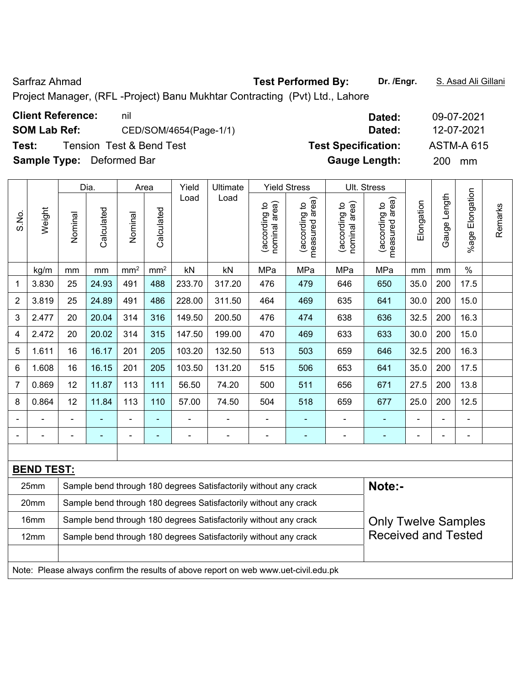Project Manager, (RFL -Project) Banu Mukhtar Contracting (Pvt) Ltd., Lahore

| <b>Client Reference:</b>         | nil                                 | Dated:                     | 09-07-2021        |
|----------------------------------|-------------------------------------|----------------------------|-------------------|
| <b>SOM Lab Ref:</b>              | CED/SOM/4654(Page-1/1)              | Dated:                     | 12-07-2021        |
| Test:                            | <b>Tension Test &amp; Bend Test</b> | <b>Test Specification:</b> | <b>ASTM-A 615</b> |
| <b>Sample Type:</b> Deformed Bar |                                     | <b>Gauge Length:</b>       | <b>200</b><br>mm  |
|                                  |                                     |                            |                   |

|                |                   |                                                                  | Dia.                                                             |                 | Area            | Yield          | Ultimate                                                         |                                | <b>Yield Stress</b>             |                                | Ult. Stress                     |            |                |                              |         |
|----------------|-------------------|------------------------------------------------------------------|------------------------------------------------------------------|-----------------|-----------------|----------------|------------------------------------------------------------------|--------------------------------|---------------------------------|--------------------------------|---------------------------------|------------|----------------|------------------------------|---------|
| S.No.          | Weight            | Nominal                                                          | Calculated                                                       | Nominal         | Calculated      | Load           | Load                                                             | nominal area)<br>(according to | measured area)<br>(according to | nominal area)<br>(according to | measured area)<br>(according to | Elongation | Gauge Length   | Elongation<br>%age I         | Remarks |
|                | kg/m              | mm                                                               | mm                                                               | mm <sup>2</sup> | mm <sup>2</sup> | kN             | $\mathsf{k}\mathsf{N}$                                           | MPa                            | MPa                             | MPa                            | MPa                             | mm         | mm             | $\%$                         |         |
| 1              | 3.830             | 25                                                               | 24.93                                                            | 491             | 488             | 233.70         | 317.20                                                           | 476                            | 479                             | 646                            | 650                             | 35.0       | 200            | 17.5                         |         |
| $\overline{2}$ | 3.819             | 25                                                               | 24.89                                                            | 491             | 486             | 228.00         | 311.50                                                           | 464                            | 469                             | 635                            | 641                             | 30.0       | 200            | 15.0                         |         |
| 3              | 2.477             | 20                                                               | 20.04                                                            | 314             | 316             | 149.50         | 200.50                                                           | 476                            | 474                             | 638                            | 636                             | 32.5       | 200            | 16.3                         |         |
| 4              | 2.472             | 20                                                               | 20.02                                                            | 314             | 315             | 147.50         | 199.00                                                           | 470                            | 469                             | 633                            | 633                             | 30.0       | 200            | 15.0                         |         |
| 5              | 1.611             | 16                                                               | 16.17                                                            | 201             | 205             | 103.20         | 132.50                                                           | 513                            | 503                             | 659                            | 646                             | 32.5       | 200            | 16.3                         |         |
| 6              | 1.608             | 16                                                               | 16.15                                                            | 201             | 205             | 103.50         | 131.20                                                           | 515                            | 506                             | 653                            | 641                             | 35.0       | 200            | 17.5                         |         |
| 7              | 0.869             | 12                                                               | 11.87                                                            | 113             | 111             | 56.50          | 74.20                                                            | 500                            | 511                             | 656                            | 671                             | 27.5       | 200            | 13.8                         |         |
| 8              | 0.864             | 12                                                               | 11.84                                                            | 113             | 110             | 57.00          | 74.50                                                            | 504                            | 518                             | 659                            | 677                             | 25.0       | 200            | 12.5                         |         |
|                | $\blacksquare$    | $\blacksquare$                                                   | $\blacksquare$                                                   | $\blacksquare$  | $\blacksquare$  | ÷              | $\overline{\phantom{a}}$                                         | $\blacksquare$                 | $\blacksquare$                  | ÷,                             |                                 |            | $\blacksquare$ | $\blacksquare$               |         |
|                |                   |                                                                  | $\blacksquare$                                                   | $\blacksquare$  | $\blacksquare$  | $\blacksquare$ | $\overline{\phantom{0}}$                                         | $\qquad \qquad \blacksquare$   | $\blacksquare$                  | ۰                              | $\blacksquare$                  |            | $\blacksquare$ | $\qquad \qquad \blacksquare$ |         |
|                |                   |                                                                  |                                                                  |                 |                 |                |                                                                  |                                |                                 |                                |                                 |            |                |                              |         |
|                | <b>BEND TEST:</b> |                                                                  |                                                                  |                 |                 |                |                                                                  |                                |                                 |                                |                                 |            |                |                              |         |
|                | 25mm              |                                                                  | Sample bend through 180 degrees Satisfactorily without any crack |                 | Note:-          |                |                                                                  |                                |                                 |                                |                                 |            |                |                              |         |
|                | 20mm              | Sample bend through 180 degrees Satisfactorily without any crack |                                                                  |                 |                 |                |                                                                  |                                |                                 |                                |                                 |            |                |                              |         |
|                | 16mm              |                                                                  |                                                                  |                 |                 |                | Sample bend through 180 degrees Satisfactorily without any crack |                                |                                 |                                | <b>Only Twelve Samples</b>      |            |                |                              |         |
|                | 12mm              |                                                                  |                                                                  |                 |                 |                | Sample bend through 180 degrees Satisfactorily without any crack |                                |                                 |                                | <b>Received and Tested</b>      |            |                |                              |         |
|                |                   |                                                                  |                                                                  |                 |                 |                |                                                                  |                                |                                 |                                |                                 |            |                |                              |         |

Note: Please always confirm the results of above report on web www.uet-civil.edu.pk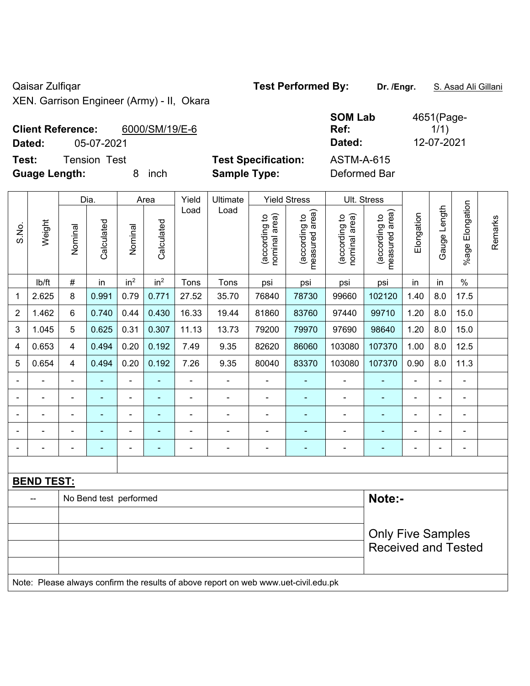Qaisar Zulfiqar **Test Performed By:** Dr. /Engr. **S. Asad Ali Gillani** Ali Gillani

XEN. Garrison Engineer (Army) - II, Okara

| <b>Client Reference:</b> | 6000/SM/19/E-6 |                            | <b>998 RUS</b><br>Ref: | 10011190<br>1/1) |
|--------------------------|----------------|----------------------------|------------------------|------------------|
| Dated:                   | 05-07-2021     |                            | Dated:                 | 12-07-2021       |
| Test:                    | Tension Test   | <b>Test Specification:</b> | ASTM-A-615             |                  |

4651(Page-1/1)

**Guage Length:** 8 inch **Sample Type:** Deformed Bar

| ASTM-A-615  |  |
|-------------|--|
| Deformed Ba |  |

**SOM Lab Ref:** 

|                |                   | Dia.           |                        | Area                     | Yield                    | Ultimate       | <b>Yield Stress</b>      |                                | Ult. Stress                        |                                |                                 |                |                |                          |         |
|----------------|-------------------|----------------|------------------------|--------------------------|--------------------------|----------------|--------------------------|--------------------------------|------------------------------------|--------------------------------|---------------------------------|----------------|----------------|--------------------------|---------|
| S.No.          | Weight            | Nominal        | Calculated             | Nominal                  | Calculated               | Load           | Load                     | (according to<br>nominal area) | area)<br>(according to<br>measured | nominal area)<br>(according to | measured area)<br>(according to | Elongation     | Gauge Length   | Elongation<br>$%$ age    | Remarks |
|                | lb/ft             | $\#$           | in                     | in <sup>2</sup>          | in <sup>2</sup>          | Tons           | Tons                     | psi                            | psi                                | psi                            | psi                             | in             | in             | $\%$                     |         |
| 1              | 2.625             | 8              | 0.991                  | 0.79                     | 0.771                    | 27.52          | 35.70                    | 76840                          | 78730                              | 99660                          | 102120                          | 1.40           | 8.0            | 17.5                     |         |
| $\overline{2}$ | 1.462             | 6              | 0.740                  | 0.44                     | 0.430                    | 16.33          | 19.44                    | 81860                          | 83760                              | 97440                          | 99710                           | 1.20           | 8.0            | 15.0                     |         |
| 3              | 1.045             | 5              | 0.625                  | 0.31                     | 0.307                    | 11.13          | 13.73                    | 79200                          | 79970                              | 97690                          | 98640                           | 1.20           | 8.0            | 15.0                     |         |
| 4              | 0.653             | 4              | 0.494                  | 0.20                     | 0.192                    | 7.49           | 9.35                     | 82620                          | 86060                              | 103080                         | 107370                          | 1.00           | 8.0            | 12.5                     |         |
| 5              | 0.654             | $\overline{4}$ | 0.494                  | 0.20                     | 0.192                    | 7.26           | 9.35                     | 80040                          | 83370                              | 103080                         | 107370                          | 0.90           | 8.0            | 11.3                     |         |
|                |                   | $\blacksquare$ | $\blacksquare$         | $\blacksquare$           | $\overline{\phantom{a}}$ | $\blacksquare$ | ä,                       | $\blacksquare$                 | $\blacksquare$                     | $\overline{\phantom{a}}$       | $\blacksquare$                  | $\blacksquare$ | $\blacksquare$ | $\blacksquare$           |         |
|                | ÷                 | $\blacksquare$ | ä,                     | $\blacksquare$           | $\blacksquare$           | $\blacksquare$ | ÷.                       | ä,                             | $\blacksquare$                     | $\blacksquare$                 | $\blacksquare$                  | $\blacksquare$ |                | ä,                       |         |
|                |                   |                |                        | $\overline{\phantom{a}}$ |                          | $\blacksquare$ | $\overline{\phantom{0}}$ |                                |                                    | $\blacksquare$                 |                                 |                |                | $\blacksquare$           |         |
|                |                   | ۰              | ٠                      | $\blacksquare$           |                          | $\blacksquare$ | $\overline{\phantom{0}}$ | $\blacksquare$                 | $\overline{\phantom{a}}$           | $\qquad \qquad \blacksquare$   |                                 | $\blacksquare$ | $\blacksquare$ | $\overline{\phantom{a}}$ |         |
|                |                   |                | $\blacksquare$         | $\blacksquare$           | $\blacksquare$           | $\blacksquare$ | $\blacksquare$           | $\blacksquare$                 | $\blacksquare$                     | $\blacksquare$                 | $\blacksquare$                  |                |                | $\blacksquare$           |         |
|                |                   |                |                        |                          |                          |                |                          |                                |                                    |                                |                                 |                |                |                          |         |
|                | <b>BEND TEST:</b> |                |                        |                          |                          |                |                          |                                |                                    |                                |                                 |                |                |                          |         |
|                |                   |                | No Bend test performed |                          | Note:-                   |                |                          |                                |                                    |                                |                                 |                |                |                          |         |
|                |                   |                |                        |                          |                          |                |                          |                                |                                    |                                |                                 |                |                |                          |         |
|                |                   |                |                        |                          |                          |                |                          |                                |                                    |                                | <b>Only Five Samples</b>        |                |                |                          |         |
|                |                   |                |                        |                          |                          |                |                          |                                |                                    |                                | <b>Received and Tested</b>      |                |                |                          |         |
|                |                   |                |                        |                          |                          |                |                          |                                |                                    |                                |                                 |                |                |                          |         |

Note: Please always confirm the results of above report on web www.uet-civil.edu.pk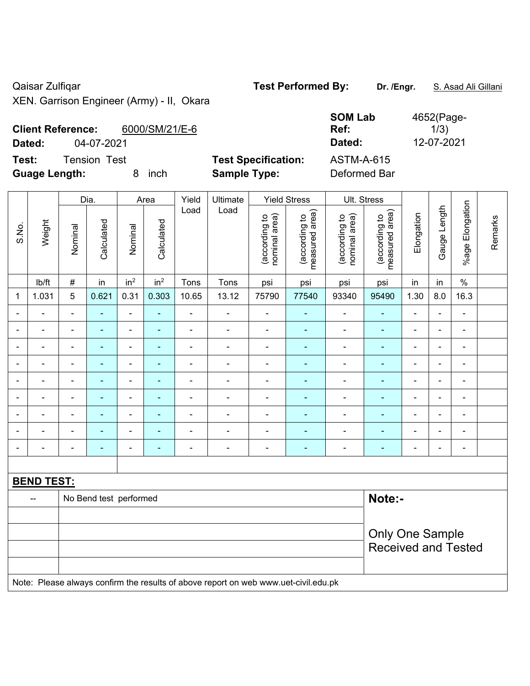Qaisar Zulfiqar **Test Performed By:** Dr. /Engr. **S. Asad Ali Gillani** Ali Collani XEN. Garrison Engineer (Army) - II, Okara

| <b>Client Reference:</b><br>6000/SM/21/E-6<br>04-07-2021<br>Dated: |                                                   | <b>SOM Lab</b><br>Ref:<br>Dated:  | 4652(Page-<br>1/3)<br>12-07-2021 |
|--------------------------------------------------------------------|---------------------------------------------------|-----------------------------------|----------------------------------|
| Test:<br>Tension<br>Test<br><b>Guage Length:</b><br>inch           | <b>Test Specification:</b><br><b>Sample Type:</b> | <b>ASTM-A-615</b><br>Deformed Bar |                                  |

|                          |                          |                | Dia.                   |                          | Area                     | Yield          | Ultimate                                                                            |                                | <b>Yield Stress</b>             |                                | Ult. Stress                     |                |                |                          |         |
|--------------------------|--------------------------|----------------|------------------------|--------------------------|--------------------------|----------------|-------------------------------------------------------------------------------------|--------------------------------|---------------------------------|--------------------------------|---------------------------------|----------------|----------------|--------------------------|---------|
| S.No.                    | Weight                   | Nominal        | Calculated             | Nominal                  | Calculated               | Load           | Load                                                                                | (according to<br>nominal area) | (according to<br>measured area) | nominal area)<br>(according to | measured area)<br>(according to | Elongation     | Gauge Length   | %age Elongation          | Remarks |
|                          | Ib/ft                    | $\#$           | in                     | in <sup>2</sup>          | in <sup>2</sup>          | Tons           | Tons                                                                                | psi                            | psi                             | psi                            | psi                             | in             | in             | $\%$                     |         |
| 1                        | 1.031                    | 5              | 0.621                  | 0.31                     | 0.303                    | 10.65          | 13.12                                                                               | 75790                          | 77540                           | 93340                          | 95490                           | 1.30           | 8.0            | 16.3                     |         |
| $\overline{\phantom{a}}$ | $\blacksquare$           | $\blacksquare$ | $\blacksquare$         | $\blacksquare$           | $\blacksquare$           | $\frac{1}{2}$  | $\blacksquare$                                                                      | $\blacksquare$                 | $\blacksquare$                  | $\blacksquare$                 | $\blacksquare$                  | ä,             | $\blacksquare$ | $\blacksquare$           |         |
| $\blacksquare$           | $\blacksquare$           | $\blacksquare$ | $\blacksquare$         | $\blacksquare$           | $\blacksquare$           | $\blacksquare$ | $\blacksquare$                                                                      | $\blacksquare$                 | $\blacksquare$                  | $\blacksquare$                 | $\blacksquare$                  | $\blacksquare$ | $\blacksquare$ | $\blacksquare$           |         |
|                          | $\blacksquare$           | $\blacksquare$ | $\blacksquare$         | $\blacksquare$           | $\blacksquare$           | L,             | $\blacksquare$                                                                      | ä,                             | $\blacksquare$                  | $\blacksquare$                 | $\blacksquare$                  | $\blacksquare$ |                | $\blacksquare$           |         |
|                          |                          | $\blacksquare$ | $\blacksquare$         | $\overline{\phantom{0}}$ |                          | $\blacksquare$ | $\overline{\phantom{0}}$                                                            | $\blacksquare$                 | ٠                               | $\overline{a}$                 | $\blacksquare$                  | $\blacksquare$ |                | $\blacksquare$           |         |
| $\blacksquare$           |                          | ä,             | $\blacksquare$         | $\blacksquare$           |                          | ä,             | $\blacksquare$                                                                      | $\blacksquare$                 |                                 | $\blacksquare$                 | Ē,                              | $\blacksquare$ |                | $\blacksquare$           |         |
| $\blacksquare$           |                          | $\blacksquare$ | $\blacksquare$         | $\blacksquare$           | $\blacksquare$           | $\blacksquare$ | $\qquad \qquad \blacksquare$                                                        | $\blacksquare$                 | ä,                              | $\blacksquare$                 | $\blacksquare$                  | $\blacksquare$ | $\blacksquare$ | $\overline{\phantom{a}}$ |         |
| $\blacksquare$           |                          | $\blacksquare$ | $\blacksquare$         | $\overline{a}$           | $\blacksquare$           | ä,             | $\frac{1}{2}$                                                                       | $\overline{\phantom{a}}$       | $\blacksquare$                  | ÷                              | $\blacksquare$                  | $\overline{a}$ | $\blacksquare$ | $\blacksquare$           |         |
| $\blacksquare$           |                          | ä,             | $\blacksquare$         | $\blacksquare$           | $\overline{\phantom{a}}$ | L,             | $\frac{1}{2}$                                                                       | ä,                             | $\blacksquare$                  | ÷,                             | ÷                               | $\blacksquare$ | ٠              | $\blacksquare$           |         |
| $\blacksquare$           | $\blacksquare$           | $\blacksquare$ | $\blacksquare$         | $\blacksquare$           | $\overline{\phantom{a}}$ | $\blacksquare$ | $\blacksquare$                                                                      | $\overline{\phantom{a}}$       | $\blacksquare$                  | $\overline{\phantom{0}}$       | $\blacksquare$                  | $\blacksquare$ | $\blacksquare$ | $\blacksquare$           |         |
|                          |                          |                |                        |                          |                          |                |                                                                                     |                                |                                 |                                |                                 |                |                |                          |         |
|                          | <b>BEND TEST:</b>        |                |                        |                          |                          |                |                                                                                     |                                |                                 |                                |                                 |                |                |                          |         |
|                          | $\overline{\phantom{a}}$ |                | No Bend test performed |                          |                          |                |                                                                                     |                                |                                 |                                | Note:-                          |                |                |                          |         |
|                          |                          |                |                        |                          |                          |                |                                                                                     |                                |                                 |                                |                                 |                |                |                          |         |
|                          |                          |                |                        |                          |                          |                |                                                                                     |                                |                                 |                                | <b>Only One Sample</b>          |                |                |                          |         |
|                          |                          |                |                        |                          |                          |                |                                                                                     |                                |                                 |                                | <b>Received and Tested</b>      |                |                |                          |         |
|                          |                          |                |                        |                          |                          |                |                                                                                     |                                |                                 |                                |                                 |                |                |                          |         |
|                          |                          |                |                        |                          |                          |                | Note: Please always confirm the results of above report on web www.uet-civil.edu.pk |                                |                                 |                                |                                 |                |                |                          |         |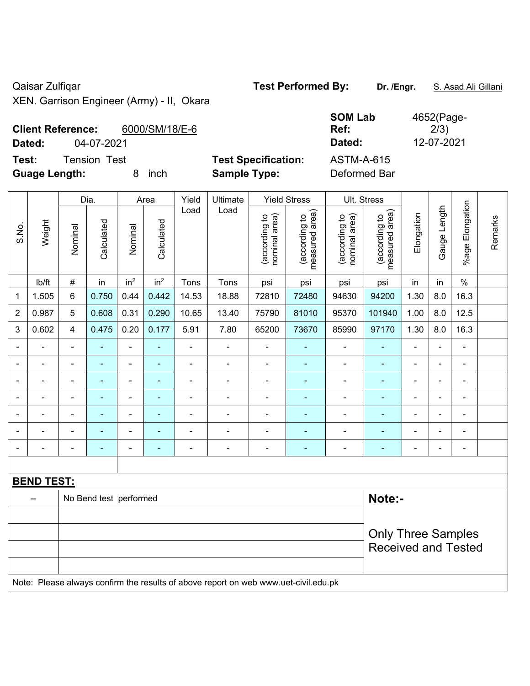Qaisar Zulfiqar **Test Performed By:** Dr. /Engr. **S. Asad Ali Gillani** Ali Gillani XEN. Garrison Engineer (Army) - II, Okara

| <b>Client Reference:</b> |                     | 6000/SM/18/E-6 |                            | <b>998 EUM</b><br>Ref: | $199 - 1199$<br>2/3) |
|--------------------------|---------------------|----------------|----------------------------|------------------------|----------------------|
| Dated:                   | 04-07-2021          |                |                            | Dated:                 | 12-07-2021           |
| Test:                    | <b>Tension Test</b> |                | <b>Test Specification:</b> | <b>ASTM-A-615</b>      |                      |
| <b>Guage Length:</b>     |                     | inch           | <b>Sample Type:</b>        | Deformed Bar           |                      |

| <b>SOM Lab</b>    | 4652(Page- |
|-------------------|------------|
| Ref:              | 2/3)       |
| Dated:            | 12-07-2021 |
| <b>ASTM-A-615</b> |            |

|                          |                          |                | Dia.                   |                              | Area                     | Yield          | Ultimate                                                                            |                                | <b>Yield Stress</b>             |                                | Ult. Stress                     |                          |                |                          |         |
|--------------------------|--------------------------|----------------|------------------------|------------------------------|--------------------------|----------------|-------------------------------------------------------------------------------------|--------------------------------|---------------------------------|--------------------------------|---------------------------------|--------------------------|----------------|--------------------------|---------|
| S.No.                    | Weight                   | Nominal        | Calculated             | Nominal                      | Calculated               | Load           | Load                                                                                | nominal area)<br>(according to | (according to<br>measured area) | nominal area)<br>(according to | measured area)<br>(according to | Elongation               | Gauge Length   | Elongation<br>%age l     | Remarks |
|                          | lb/ft                    | $\#$           | in                     | in <sup>2</sup>              | in <sup>2</sup>          | Tons           | Tons                                                                                | psi                            | psi                             | psi                            | psi                             | in                       | in             | $\frac{1}{2}$            |         |
| $\mathbf{1}$             | 1.505                    | 6              | 0.750                  | 0.44                         | 0.442                    | 14.53          | 18.88                                                                               | 72810                          | 72480                           | 94630                          | 94200                           | 1.30                     | 8.0            | 16.3                     |         |
| $\overline{2}$           | 0.987                    | 5              | 0.608                  | 0.31                         | 0.290                    | 10.65          | 13.40                                                                               | 75790                          | 81010                           | 95370                          | 101940                          | 1.00                     | 8.0            | 12.5                     |         |
| 3                        | 0.602                    | $\overline{4}$ | 0.475                  | 0.20                         | 0.177                    | 5.91           | 7.80                                                                                | 65200                          | 73670                           | 85990                          | 97170                           | 1.30                     | 8.0            | 16.3                     |         |
| $\overline{\phantom{a}}$ |                          | $\blacksquare$ | ÷                      | ä,                           |                          | $\blacksquare$ | $\blacksquare$                                                                      | ä,                             |                                 | ÷,                             | ÷,                              | $\overline{a}$           |                | $\blacksquare$           |         |
| $\blacksquare$           | $\blacksquare$           | $\blacksquare$ | $\blacksquare$         | ÷                            | $\blacksquare$           | $\blacksquare$ | $\blacksquare$                                                                      | $\blacksquare$                 | ÷                               | ÷                              | $\blacksquare$                  | $\blacksquare$           | $\blacksquare$ | $\blacksquare$           |         |
| Ē,                       | $\blacksquare$           | $\blacksquare$ | $\blacksquare$         | ÷,                           |                          | $\blacksquare$ | $\blacksquare$                                                                      | $\blacksquare$                 | ÷                               | $\blacksquare$                 | $\blacksquare$                  | $\blacksquare$           | $\blacksquare$ | $\blacksquare$           |         |
| $\blacksquare$           | $\blacksquare$           | $\blacksquare$ | ۰                      | ÷                            | $\overline{\phantom{0}}$ | $\blacksquare$ | $\blacksquare$                                                                      | $\blacksquare$                 | $\overline{a}$                  | ۰                              | ۰                               | $\overline{\phantom{a}}$ |                | $\blacksquare$           |         |
|                          | $\overline{\phantom{a}}$ | $\blacksquare$ | ÷,                     | $\qquad \qquad \blacksquare$ |                          | $\blacksquare$ | $\blacksquare$                                                                      | ä,                             | ÷                               | $\qquad \qquad \blacksquare$   | ÷,                              | $\overline{\phantom{a}}$ |                | $\blacksquare$           |         |
|                          | $\blacksquare$           | $\blacksquare$ | ٠                      | ÷,                           | ٠                        | $\blacksquare$ | $\blacksquare$                                                                      | $\blacksquare$                 | ٠                               | ÷,                             | $\blacksquare$                  | $\blacksquare$           |                | ä,                       |         |
|                          | $\overline{a}$           |                | $\blacksquare$         | ÷                            |                          | $\blacksquare$ | ÷                                                                                   | $\blacksquare$                 | ÷                               | ÷                              | $\blacksquare$                  | ÷                        |                | $\overline{\phantom{a}}$ |         |
|                          |                          |                |                        |                              |                          |                |                                                                                     |                                |                                 |                                |                                 |                          |                |                          |         |
|                          | <b>BEND TEST:</b>        |                |                        |                              |                          |                |                                                                                     |                                |                                 |                                |                                 |                          |                |                          |         |
|                          |                          |                | No Bend test performed |                              |                          |                |                                                                                     |                                |                                 |                                | Note:-                          |                          |                |                          |         |
|                          |                          |                |                        |                              |                          |                |                                                                                     |                                |                                 |                                |                                 |                          |                |                          |         |
|                          |                          |                |                        |                              |                          |                |                                                                                     |                                |                                 |                                | <b>Only Three Samples</b>       |                          |                |                          |         |
|                          |                          |                |                        |                              |                          |                |                                                                                     |                                |                                 |                                | <b>Received and Tested</b>      |                          |                |                          |         |
|                          |                          |                |                        |                              |                          |                |                                                                                     |                                |                                 |                                |                                 |                          |                |                          |         |
|                          |                          |                |                        |                              |                          |                | Note: Please always confirm the results of above report on web www.uet-civil.edu.pk |                                |                                 |                                |                                 |                          |                |                          |         |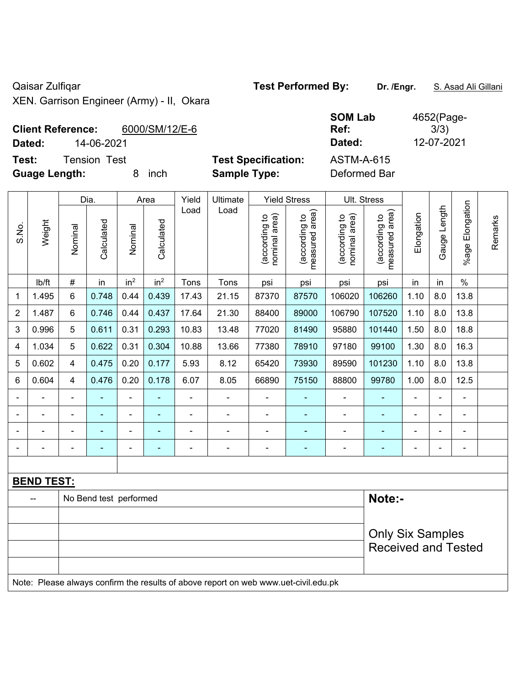Qaisar Zulfiqar **Test Performed By:** Dr. /Engr. **S. Asad Ali Gillani** Ali Gillani

XEN. Garrison Engineer (Army) - II, Okara

| <b>Client Reference:</b>     | 6000/SM/12/E-6 |                            | UVIVI LAN<br>Ref: | T002(1.990)<br>3/3) |
|------------------------------|----------------|----------------------------|-------------------|---------------------|
| 14-06-2021<br>Dated:         |                |                            | Dated:            | 12-07-2021          |
| Test:<br><b>Tension Test</b> |                | <b>Test Specification:</b> | ASTM-A-615        |                     |
| <b>Guage Length:</b>         | inch           | <b>Sample Type:</b>        | Deformed Bar      |                     |

| <b>SOM Lab</b>    | 4652(Page- |
|-------------------|------------|
| Ref:              | 3/3)       |
| Dated:            | 12-07-2021 |
| <b>ASTM-A-615</b> |            |

| <b>Client Reference:</b> | 6000/SM/12/E-6 |
|--------------------------|----------------|
|                          |                |

|                |                   | Dia.<br>Yield<br>Ultimate<br><b>Yield Stress</b><br>Area |                        |                          |                 |                |                                                                                     | Ult. Stress                    |                                 |                                |                                 |                |                |                 |         |
|----------------|-------------------|----------------------------------------------------------|------------------------|--------------------------|-----------------|----------------|-------------------------------------------------------------------------------------|--------------------------------|---------------------------------|--------------------------------|---------------------------------|----------------|----------------|-----------------|---------|
| S.No.          | Weight            | Nominal                                                  | Calculated             | Nominal                  | Calculated      | Load           | Load                                                                                | nominal area)<br>(according to | measured area)<br>(according to | nominal area)<br>(according to | measured area)<br>(according to | Elongation     | Gauge Length   | %age Elongation | Remarks |
|                | lb/ft             | #                                                        | in                     | in <sup>2</sup>          | in <sup>2</sup> | Tons           | Tons                                                                                | psi                            | psi                             | psi                            | psi                             | in             | in             | $\%$            |         |
| 1              | 1.495             | 6                                                        | 0.748                  | 0.44                     | 0.439           | 17.43          | 21.15                                                                               | 87370                          | 87570                           | 106020                         | 106260                          | 1.10           | 8.0            | 13.8            |         |
| $\overline{2}$ | 1.487             | 6                                                        | 0.746                  | 0.44                     | 0.437           | 17.64          | 21.30                                                                               | 88400                          | 89000                           | 106790                         | 107520                          | 1.10           | 8.0            | 13.8            |         |
| 3              | 0.996             | 5                                                        | 0.611                  | 0.31                     | 0.293           | 10.83          | 13.48                                                                               | 77020                          | 81490                           | 95880                          | 101440                          | 1.50           | 8.0            | 18.8            |         |
| 4              | 1.034             | 5                                                        | 0.622                  | 0.31                     | 0.304           | 10.88          | 13.66                                                                               | 77380                          | 78910                           | 97180                          | 99100                           | 1.30           | 8.0            | 16.3            |         |
| 5              | 0.602             | 4                                                        | 0.475                  | 0.20                     | 0.177           | 5.93           | 8.12                                                                                | 65420                          | 73930                           | 89590                          | 101230                          | 1.10           | 8.0            | 13.8            |         |
| 6              | 0.604             | $\overline{4}$                                           | 0.476                  | 0.20                     | 0.178           | 6.07           | 8.05                                                                                | 66890                          | 75150                           | 88800                          | 99780                           | 1.00           | 8.0            | 12.5            |         |
|                | ÷.                | $\blacksquare$                                           |                        | ÷,                       |                 | $\blacksquare$ | $\blacksquare$                                                                      | $\blacksquare$                 | ٠                               | $\blacksquare$                 | -                               | $\blacksquare$ | $\blacksquare$ | $\blacksquare$  |         |
|                | ÷                 | $\blacksquare$                                           | $\blacksquare$         | $\overline{\phantom{a}}$ | $\blacksquare$  | L,             | ÷,                                                                                  | $\blacksquare$                 | $\blacksquare$                  | $\blacksquare$                 | ä,                              | $\blacksquare$ | $\blacksquare$ | $\blacksquare$  |         |
|                | ÷                 |                                                          | ÷                      | $\overline{\phantom{a}}$ | ٠               | L,             | ÷,                                                                                  | $\blacksquare$                 | $\blacksquare$                  | $\blacksquare$                 | $\blacksquare$                  |                | $\blacksquare$ | $\blacksquare$  |         |
|                | ÷                 | $\blacksquare$                                           | $\blacksquare$         | ÷,                       | $\blacksquare$  | $\overline{a}$ | ÷                                                                                   | $\blacksquare$                 | $\blacksquare$                  | $\blacksquare$                 | ä,                              |                | $\blacksquare$ | $\blacksquare$  |         |
|                |                   |                                                          |                        |                          |                 |                |                                                                                     |                                |                                 |                                |                                 |                |                |                 |         |
|                | <b>BEND TEST:</b> |                                                          |                        |                          |                 |                |                                                                                     |                                |                                 |                                |                                 |                |                |                 |         |
|                |                   |                                                          | No Bend test performed |                          |                 |                |                                                                                     |                                |                                 |                                | Note:-                          |                |                |                 |         |
|                |                   |                                                          |                        |                          |                 |                |                                                                                     |                                |                                 |                                |                                 |                |                |                 |         |
|                |                   |                                                          |                        |                          |                 |                |                                                                                     |                                |                                 |                                | <b>Only Six Samples</b>         |                |                |                 |         |
|                |                   |                                                          |                        |                          |                 |                |                                                                                     |                                |                                 |                                | <b>Received and Tested</b>      |                |                |                 |         |
|                |                   |                                                          |                        |                          |                 |                |                                                                                     |                                |                                 |                                |                                 |                |                |                 |         |
|                |                   |                                                          |                        |                          |                 |                | Note: Please always confirm the results of above report on web www.uet-civil.edu.pk |                                |                                 |                                |                                 |                |                |                 |         |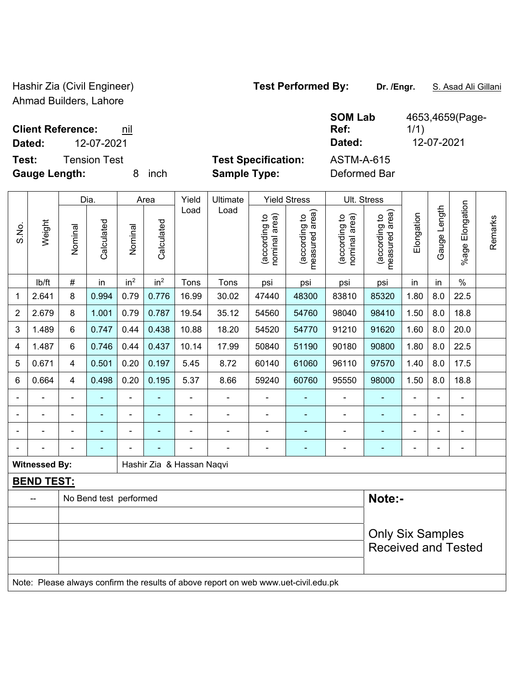Hashir Zia (Civil Engineer) **Test Performed By:** Dr. /Engr. **S. Asad Ali Gillani** Ahmad Builders, Lahore

1/1)

4653,4659(Page-

**Client Reference:** nil

**Dated:** 12-07-2021 **Dated:** 12-07-2021

**Test:** Tension Test **Test Specification:** ASTM-A-615

**Gauge Length:** 8 inch **Sample Type:** Deformed Bar

**SOM Lab Ref:** 

|                |                      |                          | Dia.                   |                          | Area            | Yield                     | Ultimate                 |                                | <b>Yield Stress</b>             | Ult. Stress                    |                                 |                          |                |                       |         |
|----------------|----------------------|--------------------------|------------------------|--------------------------|-----------------|---------------------------|--------------------------|--------------------------------|---------------------------------|--------------------------------|---------------------------------|--------------------------|----------------|-----------------------|---------|
| S.No.          | Weight               | Nominal                  | Calculated             | Nominal                  | Calculated      | Load                      | Load                     | nominal area)<br>(according to | measured area)<br>(according to | nominal area)<br>(according to | measured area)<br>(according to | Elongation               | Gauge Length   | Elongation<br>$%$ age | Remarks |
|                | lb/ft                | $\#$                     | in                     | in <sup>2</sup>          | in <sup>2</sup> | Tons                      | Tons                     | psi                            | psi                             | psi                            | psi                             | in                       | in             | $\%$                  |         |
| 1              | 2.641                | 8                        | 0.994                  | 0.79                     | 0.776           | 16.99                     | 30.02                    | 47440                          | 48300                           | 83810                          | 85320                           | 1.80                     | 8.0            | 22.5                  |         |
| $\overline{2}$ | 2.679                | 8                        | 1.001                  | 0.79                     | 0.787           | 19.54                     | 35.12                    | 54560                          | 54760                           | 98040                          | 98410                           | 1.50                     | 8.0            | 18.8                  |         |
| 3              | 1.489                | $6\phantom{1}$           | 0.747                  | 0.44                     | 0.438           | 10.88                     | 18.20                    | 54520                          | 54770                           | 91210                          | 91620                           | 1.60                     | 8.0            | 20.0                  |         |
| 4              | 1.487                | 6                        | 0.746                  | 0.44                     | 0.437           | 10.14                     | 17.99                    | 50840                          | 51190                           | 90180                          | 90800                           | 1.80                     | 8.0            | 22.5                  |         |
| 5              | 0.671                | 4                        | 0.501                  | 0.20                     | 0.197           | 5.45                      | 8.72                     | 60140                          | 61060                           | 96110                          | 97570                           | 1.40                     | 8.0            | 17.5                  |         |
| 6              | 0.664                | 4                        | 0.498                  | 0.20                     | 0.195           | 5.37                      | 8.66                     | 59240                          | 60760                           | 95550                          | 98000                           | 1.50                     | 8.0            | 18.8                  |         |
| $\blacksquare$ |                      | $\overline{\phantom{a}}$ | $\blacksquare$         | $\overline{\phantom{0}}$ | $\overline{a}$  | $\blacksquare$            | $\overline{\phantom{a}}$ | ÷                              | ۰                               | ÷                              | ۰                               | $\overline{\phantom{0}}$ | $\blacksquare$ | ۰                     |         |
| $\overline{a}$ |                      | $\blacksquare$           |                        | ۰                        |                 | $\overline{\phantom{0}}$  | $\overline{\phantom{0}}$ | $\blacksquare$                 | ۰                               | $\blacksquare$                 |                                 |                          |                | -                     |         |
|                |                      | $\blacksquare$           | $\blacksquare$         | ۰                        |                 | $\blacksquare$            | $\blacksquare$           | $\overline{\phantom{0}}$       | ۰                               | $\blacksquare$                 | ۰                               |                          | $\blacksquare$ | ۰                     |         |
| $\blacksquare$ |                      |                          | $\blacksquare$         | ÷                        |                 | -                         | ٠                        | $\blacksquare$                 | ٠                               | $\blacksquare$                 | ۰                               | $\blacksquare$           | $\blacksquare$ | ۰                     |         |
|                | <b>Witnessed By:</b> |                          |                        |                          |                 | Hashir Zia & Hassan Naqvi |                          |                                |                                 |                                |                                 |                          |                |                       |         |
|                | <b>BEND TEST:</b>    |                          |                        |                          |                 |                           |                          |                                |                                 |                                |                                 |                          |                |                       |         |
|                | --                   |                          | No Bend test performed |                          |                 |                           |                          |                                |                                 |                                | Note:-                          |                          |                |                       |         |
|                |                      |                          |                        |                          |                 |                           |                          |                                |                                 |                                |                                 |                          |                |                       |         |
|                |                      |                          |                        |                          |                 |                           |                          |                                |                                 |                                | <b>Only Six Samples</b>         |                          |                |                       |         |
|                |                      |                          |                        |                          |                 |                           |                          |                                |                                 |                                | <b>Received and Tested</b>      |                          |                |                       |         |
|                |                      |                          |                        |                          |                 |                           |                          |                                |                                 |                                |                                 |                          |                |                       |         |

Note: Please always confirm the results of above report on web www.uet-civil.edu.pk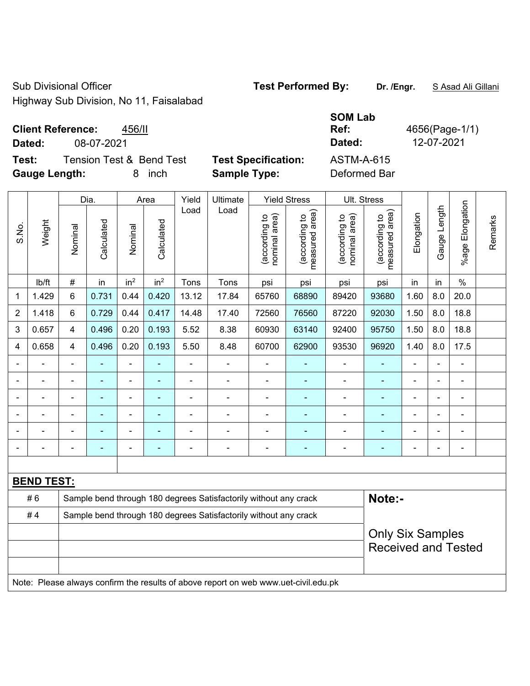Sub Divisional Officer **Test Performed By:** Dr. /Engr. **SAsad Ali Gillani** Sub Divisional Officer

Highway Sub Division, No 11, Faisalabad

### **Client Reference:** 456/II

**Test:** Tension Test & Bend Test Test Specification: **Gauge Length:** 8 inch **Sample Type:** Deformed Bar

|               |                          |                          |                            | <b>SOM Lab</b> |                |
|---------------|--------------------------|--------------------------|----------------------------|----------------|----------------|
|               | <b>Client Reference:</b> | 456/II                   |                            | Ref:           | 4656(Page-1/1) |
| Dated:        | 08-07-2021               |                          |                            | Dated:         | 12-07-2021     |
| Test:         |                          | Tension Test & Bend Test | <b>Test Specification:</b> | ASTM-A-615     |                |
| Caugo Longth: |                          | 8 inch                   | Sample Type:               | Deformed Rar   |                |

|                |                   |                | Dia.           |                 | Area            | Yield          | Ultimate                                                                            |                                | <b>Yield Stress</b>             |                                | Ult. Stress                                           |                |                |                              |         |
|----------------|-------------------|----------------|----------------|-----------------|-----------------|----------------|-------------------------------------------------------------------------------------|--------------------------------|---------------------------------|--------------------------------|-------------------------------------------------------|----------------|----------------|------------------------------|---------|
| S.No.          | Weight            | Nominal        | Calculated     | Nominal         | Calculated      | Load           | Load                                                                                | (according to<br>nominal area) | (according to<br>measured area) | (according to<br>nominal area) | (according to<br>measured area)<br>measured           | Elongation     | Gauge Length   | Elongation<br>$%$ age        | Remarks |
|                | lb/ft             | $\#$           | in             | in <sup>2</sup> | in <sup>2</sup> | Tons           | Tons                                                                                | psi                            | psi                             | psi                            | psi                                                   | in             | in             | $\%$                         |         |
| $\mathbf{1}$   | 1.429             | 6              | 0.731          | 0.44            | 0.420           | 13.12          | 17.84                                                                               | 65760                          | 68890                           | 89420                          | 93680                                                 | 1.60           | 8.0            | 20.0                         |         |
| $\overline{2}$ | 1.418             | 6              | 0.729          | 0.44            | 0.417           | 14.48          | 17.40                                                                               | 72560                          | 76560                           | 87220                          | 92030                                                 | 1.50           | 8.0            | 18.8                         |         |
| 3              | 0.657             | $\overline{4}$ | 0.496          | 0.20            | 0.193           | 5.52           | 8.38                                                                                | 60930                          | 63140                           | 92400                          | 95750                                                 | 1.50           | 8.0            | 18.8                         |         |
| 4              | 0.658             | $\overline{4}$ | 0.496          | 0.20            | 0.193           | 5.50           | 8.48                                                                                | 60700                          | 62900                           | 93530                          | 96920                                                 | 1.40           | 8.0            | 17.5                         |         |
| $\blacksquare$ | $\blacksquare$    | $\blacksquare$ | $\blacksquare$ | $\blacksquare$  | ä,              | $\blacksquare$ | $\blacksquare$                                                                      | $\blacksquare$                 | ÷                               | $\blacksquare$                 | $\blacksquare$                                        | $\blacksquare$ | $\blacksquare$ | $\overline{\phantom{0}}$     |         |
|                |                   |                | $\blacksquare$ | ۰               |                 |                | $\blacksquare$                                                                      | $\blacksquare$                 | ä,                              | $\blacksquare$                 |                                                       |                |                | ÷                            |         |
| $\blacksquare$ |                   | $\blacksquare$ | ä,             | $\blacksquare$  | ۰               |                | $\blacksquare$                                                                      | $\blacksquare$                 | $\blacksquare$                  | $\blacksquare$                 | ٠                                                     | $\blacksquare$ |                | $\blacksquare$               |         |
| $\blacksquare$ |                   |                | $\blacksquare$ | ۰               | ۰               |                | $\blacksquare$                                                                      | $\blacksquare$                 | ä,                              |                                | $\blacksquare$                                        | $\blacksquare$ | $\blacksquare$ | $\blacksquare$               |         |
| $\blacksquare$ |                   |                | $\blacksquare$ | ۰               |                 |                | Ē,                                                                                  | $\blacksquare$                 | $\blacksquare$                  |                                | $\blacksquare$                                        | $\blacksquare$ |                | ÷,                           |         |
| $\blacksquare$ |                   | $\blacksquare$ | $\blacksquare$ | ۰               | ۰               | $\blacksquare$ | $\blacksquare$                                                                      | $\blacksquare$                 | $\blacksquare$                  | $\blacksquare$                 | $\blacksquare$                                        | $\blacksquare$ |                | $\qquad \qquad \blacksquare$ |         |
|                |                   |                |                |                 |                 |                |                                                                                     |                                |                                 |                                |                                                       |                |                |                              |         |
|                | <b>BEND TEST:</b> |                |                |                 |                 |                |                                                                                     |                                |                                 |                                |                                                       |                |                |                              |         |
|                | #6                |                |                |                 |                 |                | Sample bend through 180 degrees Satisfactorily without any crack                    |                                |                                 |                                | Note:-                                                |                |                |                              |         |
|                | #4                |                |                |                 |                 |                | Sample bend through 180 degrees Satisfactorily without any crack                    |                                |                                 |                                |                                                       |                |                |                              |         |
|                |                   |                |                |                 |                 |                |                                                                                     |                                |                                 |                                | <b>Only Six Samples</b><br><b>Received and Tested</b> |                |                |                              |         |
|                |                   |                |                |                 |                 |                | Note: Please always confirm the results of above report on web www.uet-civil.edu.pk |                                |                                 |                                |                                                       |                |                |                              |         |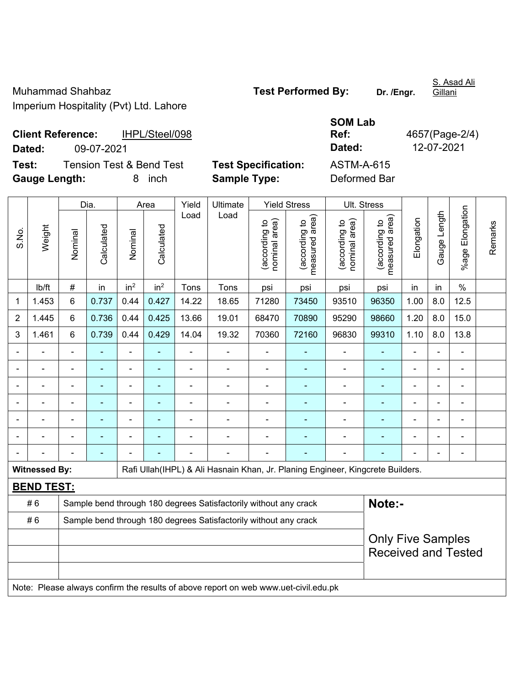Muhammad Shahbaz **Test Performed By:** Dr. /Engr. Imperium Hospitality (Pvt) Ltd. Lahore

S. Asad Ali **Gillani** 

**Client Reference:** IHPL/Steel/098 **Dated:** 09-07-2021 **Dated:** 12-07-2021

**Test:** Tension Test & Bend Test **Test Specification:** ASTM-A-615 **Gauge Length:** 8 inch **Sample Type:** Deformed Bar

**Ref:** 4657(Page-2/4)

Dia. | Area | Yield | Ultimate | Yield Stress | Ult. Stress %age Elongation %age Elongation Gauge Length Load Load Gauge Length (according to<br>measured area) measured area) measured area) (according to<br>nominal area) (according to<br>nominal area) nominal area) nominal area) (according to<br>measured area) Elongation Elongation (according to (according to (according to (according to Remarks Remarks Weight **Calculated Calculated** Calculated Calculated S.No. Nominal Nominal Vominal Nominal | lb/ft | # | in | in<sup>2</sup> | in<sup>2</sup> | Tons | Tons | psi | psi | psi | psi | in | in | % 1 1.453 6 0.737 0.44 0.427 14.22 18.65 71280 73450 93510 96350 1.00 8.0 12.5 2 | 1.445 | 6 | 0.736 | 0.44 | 0.425 | 13.66 | 19.01 | 68470 | 70890 | 95290 | 98660 | 1.20 | 8.0 | 15.0 3 | 1.461 | 6 | 0.739 | 0.44 | 0.429 | 14.04 | 19.32 | 70360 | 72160 | 96830 | 99310 | 1.10 | 8.0 | 13.8 - - - - - - - - - - - - - - - - - - - - - - - - - - - - - - - - - - - - - - - - - - - - - - - - - - - - - - - - - - - - - - - - - - - - - - - - - - - - - - - - - - - - - - - - - - - - - - - - - - - - - - - - - Witnessed By: **Rafi Ullah**(IHPL) & Ali Hasnain Khan, Jr. Planing Engineer, Kingcrete Builders. **BEND TEST:**  # 6 Sample bend through 180 degrees Satisfactorily without any crack **Note:- Note:** #6 Sample bend through 180 degrees Satisfactorily without any crack Only Five Samples Received and Tested Note: Please always confirm the results of above report on web www.uet-civil.edu.pk

**SOM Lab**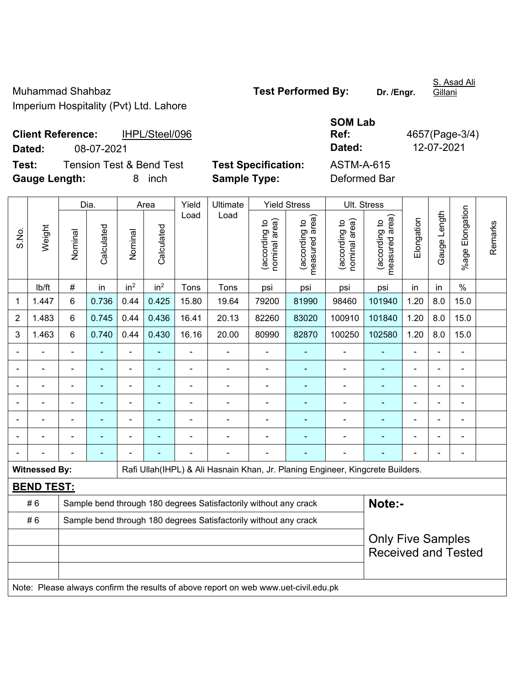Muhammad Shahbaz **Test Performed By:** Dr. /Engr. Imperium Hospitality (Pvt) Ltd. Lahore

S. Asad Ali Gillani

**Client Reference:** IHPL/Steel/096 **Dated:** 08-07-2021 **Dated:** 12-07-2021

**SOM Lab Ref:** 4657(Page-3/4)

**Test:** Tension Test & Bend Test **Test Specification:** ASTM-A-615 **Gauge Length:** 8 inch **Sample Type:** Deformed Bar

|                |                      |                                                                  | Dia.       | <b>Yield Stress</b><br>Yield<br>Ultimate<br>Area |                 |                |                                                                                     |                                |                                 |                                   | Ult. Stress                     |            |              |                      |         |
|----------------|----------------------|------------------------------------------------------------------|------------|--------------------------------------------------|-----------------|----------------|-------------------------------------------------------------------------------------|--------------------------------|---------------------------------|-----------------------------------|---------------------------------|------------|--------------|----------------------|---------|
| S.No.          | Weight               | Nominal                                                          | Calculated | Nominal                                          | Calculated      | Load           | Load                                                                                | nominal area)<br>(according to | (according to<br>measured area) | area)<br>(according to<br>nominal | (according to<br>measured area) | Elongation | Gauge Length | Elongation<br>%age l | Remarks |
|                | lb/ft                | $\#$                                                             | in         | in <sup>2</sup>                                  | in <sup>2</sup> | Tons           | Tons                                                                                | psi                            | psi                             | psi                               | psi                             | in         | in           | $\%$                 |         |
| 1              | 1.447                | 6                                                                | 0.736      | 0.44                                             | 0.425           | 15.80          | 19.64                                                                               | 79200                          | 81990                           | 98460                             | 101940                          | 1.20       | 8.0          | 15.0                 |         |
| $\overline{2}$ | 1.483                | 6                                                                | 0.745      | 0.44                                             | 0.436           | 16.41          | 20.13                                                                               | 82260                          | 83020                           | 100910                            | 101840                          | 1.20       | 8.0          | 15.0                 |         |
| 3              | 1.463                | 6                                                                | 0.740      | 0.44                                             | 0.430           | 16.16          | 20.00                                                                               | 80990                          | 82870                           | 100250                            | 102580                          | 1.20       | 8.0          | 15.0                 |         |
|                |                      |                                                                  |            | $\blacksquare$                                   |                 |                |                                                                                     | $\blacksquare$                 |                                 |                                   |                                 |            |              |                      |         |
|                |                      |                                                                  |            | $\blacksquare$                                   |                 | $\blacksquare$ | $\blacksquare$                                                                      | $\blacksquare$                 | $\blacksquare$                  |                                   |                                 |            |              |                      |         |
|                |                      |                                                                  |            | -                                                |                 |                | $\blacksquare$                                                                      | $\blacksquare$                 | ۰                               | $\overline{\phantom{0}}$          |                                 | Ē,         |              | $\blacksquare$       |         |
|                |                      |                                                                  | ٠          | ÷,                                               | ٠               | $\blacksquare$ | $\blacksquare$                                                                      | $\blacksquare$                 | ٠                               | $\blacksquare$                    | $\blacksquare$                  | Ē,         |              | $\blacksquare$       |         |
|                |                      |                                                                  | ٠          | -                                                |                 |                |                                                                                     |                                | ٠                               |                                   |                                 |            |              | $\blacksquare$       |         |
|                |                      |                                                                  |            |                                                  |                 |                |                                                                                     |                                |                                 |                                   |                                 |            |              |                      |         |
|                |                      |                                                                  |            |                                                  |                 |                |                                                                                     |                                |                                 |                                   |                                 |            |              |                      |         |
|                | <b>Witnessed By:</b> |                                                                  |            |                                                  |                 |                | Rafi Ullah(IHPL) & Ali Hasnain Khan, Jr. Planing Engineer, Kingcrete Builders.      |                                |                                 |                                   |                                 |            |              |                      |         |
|                | <b>BEND TEST:</b>    |                                                                  |            |                                                  |                 |                |                                                                                     |                                |                                 |                                   |                                 |            |              |                      |         |
|                | #6                   |                                                                  |            |                                                  |                 |                | Sample bend through 180 degrees Satisfactorily without any crack                    |                                |                                 |                                   | Note:-                          |            |              |                      |         |
|                | #6                   | Sample bend through 180 degrees Satisfactorily without any crack |            |                                                  |                 |                |                                                                                     |                                |                                 |                                   |                                 |            |              |                      |         |
|                |                      | <b>Only Five Samples</b>                                         |            |                                                  |                 |                |                                                                                     |                                |                                 |                                   |                                 |            |              |                      |         |
|                |                      |                                                                  |            |                                                  |                 |                |                                                                                     |                                |                                 |                                   | <b>Received and Tested</b>      |            |              |                      |         |
|                |                      |                                                                  |            |                                                  |                 |                |                                                                                     |                                |                                 |                                   |                                 |            |              |                      |         |
|                |                      |                                                                  |            |                                                  |                 |                | Note: Please always confirm the results of above report on web www.uet-civil.edu.pk |                                |                                 |                                   |                                 |            |              |                      |         |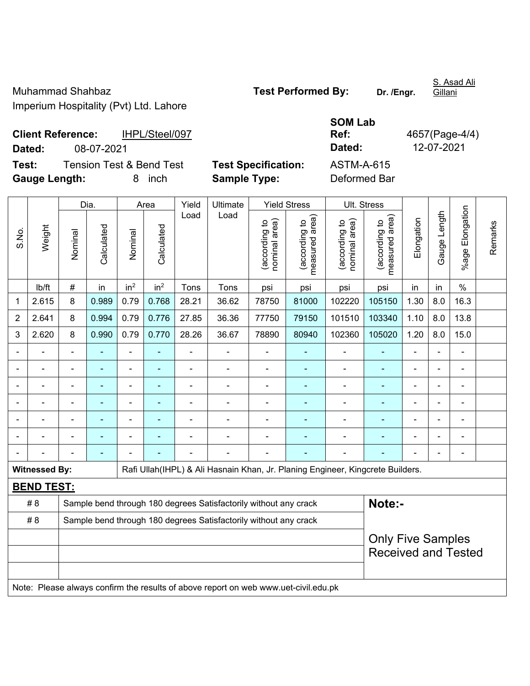Muhammad Shahbaz **Test Performed By:** Dr. /Engr. Imperium Hospitality (Pvt) Ltd. Lahore

S. Asad Ali Gillani

## **SOM Lab Ref:** 4657(Page-4/4)

**Client Reference:** IHPL/Steel/097 **Dated:** 08-07-2021 **Dated:** 12-07-2021 **Test:** Tension Test & Bend Test **Test Specification:** ASTM-A-615 **Gauge Length:** 8 inch **Sample Type:** Deformed Bar

|                |                      | Dia.           |                | Area            | Yield           | Ultimate |                                                                                     | <b>Yield Stress</b>            | Ult. Stress                     |                                |                                 |            |              |                 |         |
|----------------|----------------------|----------------|----------------|-----------------|-----------------|----------|-------------------------------------------------------------------------------------|--------------------------------|---------------------------------|--------------------------------|---------------------------------|------------|--------------|-----------------|---------|
| S.No.          | Weight               | Nominal        | Calculated     | Nominal         | Calculated      | Load     | Load                                                                                | (according to<br>nominal area) | (according to<br>measured area) | nominal area)<br>(according to | (according to<br>measured area) | Elongation | Gauge Length | %age Elongation | Remarks |
|                | lb/ft                | $\#$           | in             | in <sup>2</sup> | in <sup>2</sup> | Tons     | Tons                                                                                | psi                            | psi                             | psi                            | psi                             | in         | in           | $\%$            |         |
| 1              | 2.615                | 8              | 0.989          | 0.79            | 0.768           | 28.21    | 36.62                                                                               | 78750                          | 81000                           | 102220                         | 105150                          | 1.30       | 8.0          | 16.3            |         |
| $\overline{2}$ | 2.641                | $\bf 8$        | 0.994          | 0.79            | 0.776           | 27.85    | 36.36                                                                               | 77750                          | 79150                           | 101510                         | 103340                          | 1.10       | 8.0          | 13.8            |         |
| 3              | 2.620                | 8              | 0.990          | 0.79            | 0.770           | 28.26    | 36.67                                                                               | 78890                          | 80940                           | 102360                         | 105020                          | 1.20       | 8.0          | 15.0            |         |
|                |                      |                |                | $\blacksquare$  |                 |          |                                                                                     |                                |                                 |                                |                                 |            |              |                 |         |
|                |                      | $\blacksquare$ | ä,             | ۰               |                 |          | ÷                                                                                   | $\overline{\phantom{a}}$       |                                 | $\overline{a}$                 | $\overline{\phantom{0}}$        |            |              | ۰               |         |
|                |                      | $\blacksquare$ |                | ۰               |                 |          | $\blacksquare$                                                                      |                                |                                 | $\blacksquare$                 | $\overline{\phantom{0}}$        | Ē,         |              | ۰               |         |
|                |                      | $\blacksquare$ | $\blacksquare$ | $\blacksquare$  |                 |          | $\blacksquare$                                                                      | ä,                             | ٠                               | $\blacksquare$                 | ۰                               | ä,         |              | $\blacksquare$  |         |
|                |                      |                |                |                 |                 |          |                                                                                     |                                |                                 |                                |                                 |            |              | $\blacksquare$  |         |
|                |                      |                |                |                 |                 |          |                                                                                     |                                |                                 |                                |                                 |            |              |                 |         |
|                |                      |                |                |                 |                 |          |                                                                                     |                                |                                 |                                |                                 |            |              |                 |         |
|                | <b>Witnessed By:</b> |                |                |                 |                 |          | Rafi Ullah(IHPL) & Ali Hasnain Khan, Jr. Planing Engineer, Kingcrete Builders.      |                                |                                 |                                |                                 |            |              |                 |         |
|                | <b>BEND TEST:</b>    |                |                |                 |                 |          |                                                                                     |                                |                                 |                                |                                 |            |              |                 |         |
|                | # 8                  |                |                |                 |                 |          | Sample bend through 180 degrees Satisfactorily without any crack                    |                                |                                 |                                | Note:-                          |            |              |                 |         |
|                | # 8                  |                |                |                 |                 |          | Sample bend through 180 degrees Satisfactorily without any crack                    |                                |                                 |                                |                                 |            |              |                 |         |
|                |                      |                |                |                 |                 |          |                                                                                     |                                |                                 |                                | <b>Only Five Samples</b>        |            |              |                 |         |
|                |                      |                |                |                 |                 |          |                                                                                     |                                |                                 |                                | <b>Received and Tested</b>      |            |              |                 |         |
|                |                      |                |                |                 |                 |          |                                                                                     |                                |                                 |                                |                                 |            |              |                 |         |
|                |                      |                |                |                 |                 |          | Note: Please always confirm the results of above report on web www.uet-civil.edu.pk |                                |                                 |                                |                                 |            |              |                 |         |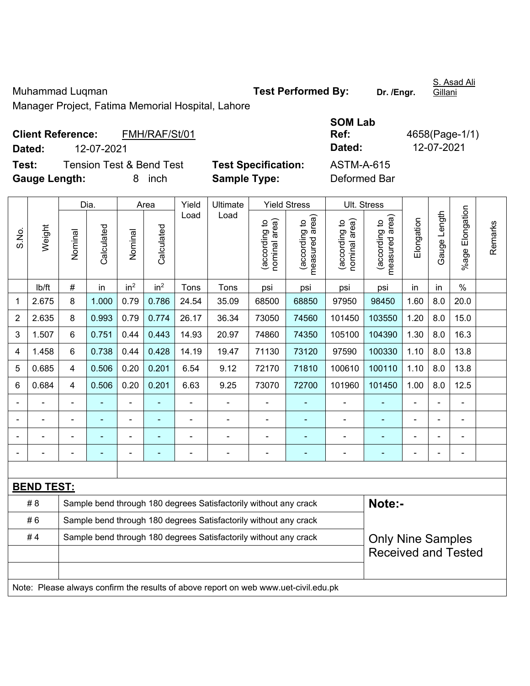Muhammad Luqman **Test Performed By:** Dr. /Engr.

S. Asad Ali Gillani

Manager Project, Fatima Memorial Hospital, Lahore

| <b>Client Reference:</b> |            | FMH/RAF/St/01            |                            | Ref:         | 4658(Page-1/ |
|--------------------------|------------|--------------------------|----------------------------|--------------|--------------|
| Dated:                   | 12-07-2021 |                          |                            | Dated:       | 12-07-2021   |
| Test:                    |            | Tension Test & Bend Test | <b>Test Specification:</b> | ASTM-A-615   |              |
| <b>Gauge Length:</b>     |            | inch                     | <b>Sample Type:</b>        | Deformed Bar |              |

| <b>SOM Lab</b> |                |
|----------------|----------------|
| Ref:           | 4658(Page-1/1) |
| Dated:         | 12-07-2021     |
| ASTM-A-615     |                |
| Deformed Rar   |                |

|                                                                                     |                   |                |            | Dia.<br>Area    |                 |       | Yield<br>Ultimate<br><b>Yield Stress</b>                         |                                |                                 |                                | Ult. Stress                     |                |                          |                 |         |
|-------------------------------------------------------------------------------------|-------------------|----------------|------------|-----------------|-----------------|-------|------------------------------------------------------------------|--------------------------------|---------------------------------|--------------------------------|---------------------------------|----------------|--------------------------|-----------------|---------|
| S.No.                                                                               | Weight            | Nominal        | Calculated | Nominal         | Calculated      | Load  | Load                                                             | nominal area)<br>(according to | (according to<br>measured area) | nominal area)<br>(according to | (according to<br>measured area) | Elongation     | Gauge Length             | %age Elongation | Remarks |
|                                                                                     | lb/ft             | #              | in         | in <sup>2</sup> | in <sup>2</sup> | Tons  | Tons                                                             | psi                            | psi                             | psi                            | psi                             | in             | in                       | $\frac{0}{0}$   |         |
| 1                                                                                   | 2.675             | 8              | 1.000      | 0.79            | 0.786           | 24.54 | 35.09                                                            | 68500                          | 68850                           | 97950                          | 98450                           | 1.60           | 8.0                      | 20.0            |         |
| $\overline{2}$                                                                      | 2.635             | 8              | 0.993      | 0.79            | 0.774           | 26.17 | 36.34                                                            | 73050                          | 74560                           | 101450                         | 103550                          | 1.20           | 8.0                      | 15.0            |         |
| 3                                                                                   | 1.507             | 6              | 0.751      | 0.44            | 0.443           | 14.93 | 20.97                                                            | 74860                          | 74350                           | 105100                         | 104390                          | 1.30           | 8.0                      | 16.3            |         |
| 4                                                                                   | 1.458             | 6              | 0.738      | 0.44            | 0.428           | 14.19 | 19.47                                                            | 71130                          | 73120                           | 97590                          | 100330                          | 1.10           | 8.0                      | 13.8            |         |
| 5                                                                                   | 0.685             | 4              | 0.506      | 0.20            | 0.201           | 6.54  | 9.12                                                             | 72170                          | 71810                           | 100610                         | 100110                          | 1.10           | 8.0                      | 13.8            |         |
| 6                                                                                   | 0.684             | 4              | 0.506      | 0.20            | 0.201           | 6.63  | 9.25                                                             | 73070                          | 72700                           | 101960                         | 101450                          | 1.00           | 8.0                      | 12.5            |         |
|                                                                                     |                   |                |            |                 |                 |       |                                                                  | ä,                             |                                 |                                |                                 |                |                          |                 |         |
|                                                                                     |                   |                |            |                 |                 |       | $\blacksquare$                                                   |                                |                                 |                                |                                 |                |                          | ÷               |         |
|                                                                                     | ÷                 |                |            | ÷               |                 |       |                                                                  | $\blacksquare$                 | ۰                               |                                |                                 | Ē,             | $\blacksquare$           | ÷,              |         |
|                                                                                     |                   | $\blacksquare$ |            | ÷               |                 | Ē,    | $\blacksquare$                                                   | ä,                             | $\blacksquare$                  | ÷                              | $\overline{\phantom{0}}$        | $\blacksquare$ | $\overline{\phantom{a}}$ | ÷,              |         |
|                                                                                     |                   |                |            |                 |                 |       |                                                                  |                                |                                 |                                |                                 |                |                          |                 |         |
|                                                                                     | <b>BEND TEST:</b> |                |            |                 |                 |       |                                                                  |                                |                                 |                                |                                 |                |                          |                 |         |
|                                                                                     | # 8               |                |            |                 |                 |       | Sample bend through 180 degrees Satisfactorily without any crack |                                |                                 |                                | Note:-                          |                |                          |                 |         |
|                                                                                     | #6                |                |            |                 |                 |       | Sample bend through 180 degrees Satisfactorily without any crack |                                |                                 |                                |                                 |                |                          |                 |         |
| #4<br>Sample bend through 180 degrees Satisfactorily without any crack              |                   |                |            |                 |                 |       |                                                                  |                                |                                 |                                | <b>Only Nine Samples</b>        |                |                          |                 |         |
|                                                                                     |                   |                |            |                 |                 |       |                                                                  |                                |                                 | <b>Received and Tested</b>     |                                 |                |                          |                 |         |
|                                                                                     |                   |                |            |                 |                 |       |                                                                  |                                |                                 |                                |                                 |                |                          |                 |         |
| Note: Please always confirm the results of above report on web www.uet-civil.edu.pk |                   |                |            |                 |                 |       |                                                                  |                                |                                 |                                |                                 |                |                          |                 |         |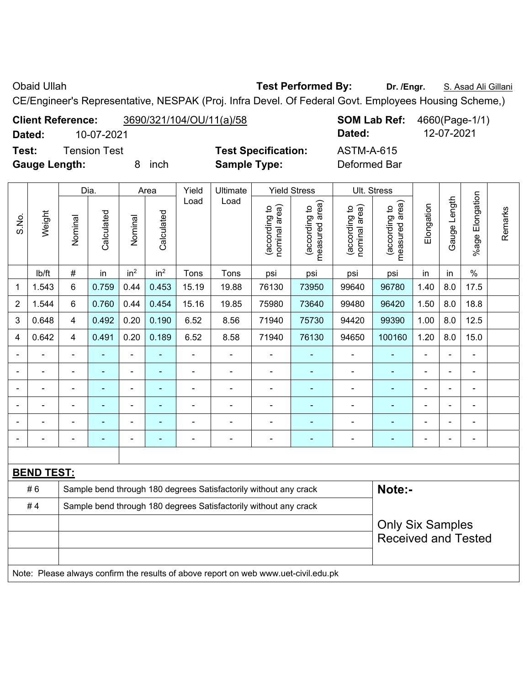**Obaid Ullah <b>Test Performed By:** Dr. /Engr. **S. Asad Ali Gillani** Ali Collani

CE/Engineer's Representative, NESPAK (Proj. Infra Devel. Of Federal Govt. Employees Housing Scheme,)

**Client Reference:** 3690/321/104/OU/11(a)/58 **SOM Lab Ref:** 4660(Page-1/1) **Dated:** 10-07-2021 **Dated:** 12-07-2021

**Test:** Tension Test **Test Specification:** ASTM-A-615

**Gauge Length:** 8 inch **Sample Type:** Deformed Bar

|                |                                                                        | Dia.           |                | Area            |                          | Yield          | Ultimate                                                                            | <b>Yield Stress</b>            |                                    |                                | Ult. Stress                                 |                         |                |                       |         |  |  |
|----------------|------------------------------------------------------------------------|----------------|----------------|-----------------|--------------------------|----------------|-------------------------------------------------------------------------------------|--------------------------------|------------------------------------|--------------------------------|---------------------------------------------|-------------------------|----------------|-----------------------|---------|--|--|
| S.No.          | Weight                                                                 | Nominal        | Calculated     | Nominal         | Calculated               | Load           | Load                                                                                | nominal area)<br>(according to | area)<br>(according to<br>measured | nominal area)<br>(according to | (according to<br>neasured area)<br>measured | Elongation              | Gauge Length   | Elongation<br>$%$ age | Remarks |  |  |
|                | lb/ft                                                                  | #              | in             | in <sup>2</sup> | in <sup>2</sup>          | Tons           | Tons                                                                                | psi                            | psi                                | psi                            | psi                                         | in                      | in             | $\%$                  |         |  |  |
| 1              | 1.543                                                                  | 6              | 0.759          | 0.44            | 0.453                    | 15.19          | 19.88                                                                               | 76130                          | 73950                              | 99640                          | 96780                                       | 1.40                    | 8.0            | 17.5                  |         |  |  |
| $\overline{2}$ | 1.544                                                                  | 6              | 0.760          | 0.44            | 0.454                    | 15.16          | 19.85                                                                               | 75980                          | 73640                              | 99480                          | 96420                                       | 1.50                    | 8.0            | 18.8                  |         |  |  |
| 3              | 0.648                                                                  | 4              | 0.492          | 0.20            | 0.190                    | 6.52           | 8.56                                                                                | 71940                          | 75730                              | 94420                          | 99390                                       | 1.00                    | 8.0            | 12.5                  |         |  |  |
| 4              | 0.642                                                                  | $\overline{4}$ | 0.491          | 0.20            | 0.189                    | 6.52           | 8.58                                                                                | 71940                          | 76130                              | 94650                          | 100160                                      | 1.20                    | 8.0            | 15.0                  |         |  |  |
|                | ÷.                                                                     | $\blacksquare$ | ۰              | L,              | ÷,                       | $\blacksquare$ | $\overline{\phantom{a}}$                                                            | $\overline{\phantom{a}}$       |                                    | $\blacksquare$                 | $\overline{\phantom{0}}$                    | $\blacksquare$          | $\blacksquare$ | $\frac{1}{2}$         |         |  |  |
| $\blacksquare$ | ä,                                                                     | $\blacksquare$ | ÷,             | $\overline{a}$  | $\blacksquare$           | ä,             | $\blacksquare$                                                                      | $\overline{\phantom{a}}$       | ÷,                                 | $\blacksquare$                 | $\blacksquare$                              | $\blacksquare$          | $\blacksquare$ | $\blacksquare$        |         |  |  |
| $\blacksquare$ | ÷,                                                                     | $\blacksquare$ | $\blacksquare$ |                 | $\overline{\phantom{a}}$ | ÷              | L,                                                                                  | ÷,                             | $\blacksquare$                     | $\blacksquare$                 | $\blacksquare$                              | ä,                      | $\blacksquare$ | $\blacksquare$        |         |  |  |
| $\blacksquare$ | $\blacksquare$                                                         | $\blacksquare$ | $\blacksquare$ | $\blacksquare$  | $\blacksquare$           | ä,             | $\blacksquare$                                                                      | $\blacksquare$                 | ÷,                                 | $\blacksquare$                 | $\blacksquare$                              | ä,                      |                | $\blacksquare$        |         |  |  |
|                | $\blacksquare$                                                         |                | ۰              | $\overline{a}$  |                          | $\blacksquare$ | $\overline{a}$                                                                      | ÷                              |                                    | $\blacksquare$                 | ÷,                                          | $\blacksquare$          |                | $\blacksquare$        |         |  |  |
|                |                                                                        |                | ۰              | L,              | $\blacksquare$           |                | ä,                                                                                  | $\overline{\phantom{a}}$       | $\overline{\phantom{a}}$           | $\blacksquare$                 | ÷,                                          | $\blacksquare$          |                | $\blacksquare$        |         |  |  |
|                |                                                                        |                |                |                 |                          |                |                                                                                     |                                |                                    |                                |                                             |                         |                |                       |         |  |  |
|                | <b>BEND TEST:</b>                                                      |                |                |                 |                          |                |                                                                                     |                                |                                    |                                |                                             |                         |                |                       |         |  |  |
|                | #6                                                                     |                |                |                 |                          |                | Sample bend through 180 degrees Satisfactorily without any crack                    |                                |                                    |                                | Note:-                                      |                         |                |                       |         |  |  |
|                | #4<br>Sample bend through 180 degrees Satisfactorily without any crack |                |                |                 |                          |                |                                                                                     |                                |                                    |                                |                                             |                         |                |                       |         |  |  |
|                |                                                                        |                |                |                 |                          |                |                                                                                     |                                |                                    |                                |                                             | <b>Only Six Samples</b> |                |                       |         |  |  |
|                |                                                                        |                |                |                 |                          |                |                                                                                     | <b>Received and Tested</b>     |                                    |                                |                                             |                         |                |                       |         |  |  |
|                |                                                                        |                |                |                 |                          |                |                                                                                     |                                |                                    |                                |                                             |                         |                |                       |         |  |  |
|                |                                                                        |                |                |                 |                          |                | Note: Please always confirm the results of above report on web www.uet-civil.edu.pk |                                |                                    |                                |                                             |                         |                |                       |         |  |  |
|                |                                                                        |                |                |                 |                          |                |                                                                                     |                                |                                    |                                |                                             |                         |                |                       |         |  |  |